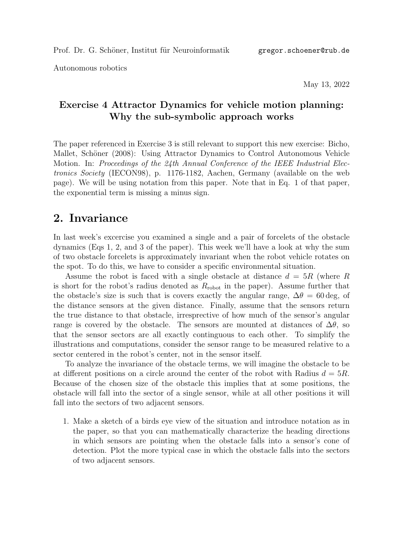Autonomous robotics

May 13, 2022

## Exercise 4 Attractor Dynamics for vehicle motion planning: Why the sub-symbolic approach works

The paper referenced in Exercise 3 is still relevant to support this new exercise: Bicho, Mallet, Schöner (2008): Using Attractor Dynamics to Control Autonomous Vehicle Motion. In: Proceedings of the 24th Annual Conference of the IEEE Industrial Electronics Society (IECON98), p. 1176-1182, Aachen, Germany (available on the web page). We will be using notation from this paper. Note that in Eq. 1 of that paper, the exponential term is missing a minus sign.

## 2. Invariance

In last week's excercise you examined a single and a pair of forcelets of the obstacle dynamics (Eqs 1, 2, and 3 of the paper). This week we'll have a look at why the sum of two obstacle forcelets is approximately invariant when the robot vehicle rotates on the spot. To do this, we have to consider a specific environmental situation.

Assume the robot is faced with a single obstacle at distance  $d = 5R$  (where R is short for the robot's radius denoted as  $R_{\rm robot}$  in the paper). Assume further that the obstacle's size is such that is covers exactly the angular range,  $\Delta\theta = 60 \text{ deg}$ , of the distance sensors at the given distance. Finally, assume that the sensors return the true distance to that obstacle, irresprective of how much of the sensor's angular range is covered by the obstacle. The sensors are mounted at distances of  $\Delta\theta$ , so that the sensor sectors are all exactly continguous to each other. To simplify the illustrations and computations, consider the sensor range to be measured relative to a sector centered in the robot's center, not in the sensor itself.

To analyze the invariance of the obstacle terms, we will imagine the obstacle to be at different positions on a circle around the center of the robot with Radius  $d = 5R$ . Because of the chosen size of the obstacle this implies that at some positions, the obstacle will fall into the sector of a single sensor, while at all other positions it will fall into the sectors of two adjacent sensors.

1. Make a sketch of a birds eye view of the situation and introduce notation as in the paper, so that you can mathematically characterize the heading directions in which sensors are pointing when the obstacle falls into a sensor's cone of detection. Plot the more typical case in which the obstacle falls into the sectors of two adjacent sensors.